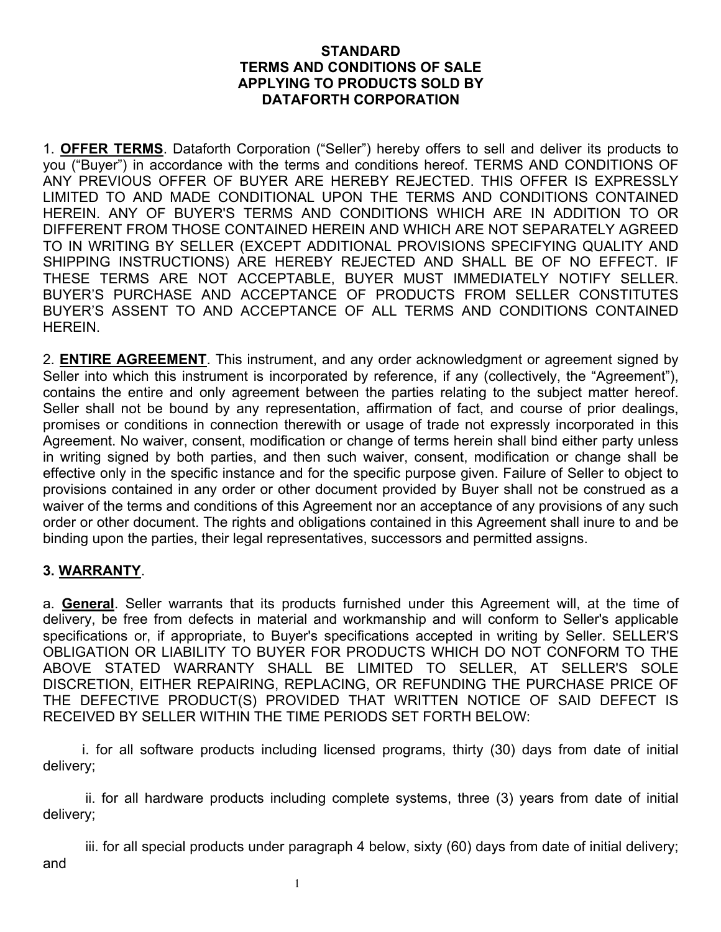#### **STANDARD TERMS AND CONDITIONS OF SALE APPLYING TO PRODUCTS SOLD BY DATAFORTH CORPORATION**

1. **OFFER TERMS**. Dataforth Corporation ("Seller") hereby offers to sell and deliver its products to you ("Buyer") in accordance with the terms and conditions hereof. TERMS AND CONDITIONS OF ANY PREVIOUS OFFER OF BUYER ARE HEREBY REJECTED. THIS OFFER IS EXPRESSLY LIMITED TO AND MADE CONDITIONAL UPON THE TERMS AND CONDITIONS CONTAINED HEREIN. ANY OF BUYER'S TERMS AND CONDITIONS WHICH ARE IN ADDITION TO OR DIFFERENT FROM THOSE CONTAINED HEREIN AND WHICH ARE NOT SEPARATELY AGREED TO IN WRITING BY SELLER (EXCEPT ADDITIONAL PROVISIONS SPECIFYING QUALITY AND SHIPPING INSTRUCTIONS) ARE HEREBY REJECTED AND SHALL BE OF NO EFFECT. IF THESE TERMS ARE NOT ACCEPTABLE, BUYER MUST IMMEDIATELY NOTIFY SELLER. BUYER'S PURCHASE AND ACCEPTANCE OF PRODUCTS FROM SELLER CONSTITUTES BUYER'S ASSENT TO AND ACCEPTANCE OF ALL TERMS AND CONDITIONS CONTAINED HEREIN.

2. **ENTIRE AGREEMENT**. This instrument, and any order acknowledgment or agreement signed by Seller into which this instrument is incorporated by reference, if any (collectively, the "Agreement"), contains the entire and only agreement between the parties relating to the subject matter hereof. Seller shall not be bound by any representation, affirmation of fact, and course of prior dealings, promises or conditions in connection therewith or usage of trade not expressly incorporated in this Agreement. No waiver, consent, modification or change of terms herein shall bind either party unless in writing signed by both parties, and then such waiver, consent, modification or change shall be effective only in the specific instance and for the specific purpose given. Failure of Seller to object to provisions contained in any order or other document provided by Buyer shall not be construed as a waiver of the terms and conditions of this Agreement nor an acceptance of any provisions of any such order or other document. The rights and obligations contained in this Agreement shall inure to and be binding upon the parties, their legal representatives, successors and permitted assigns.

### **3. WARRANTY**.

a. **General**. Seller warrants that its products furnished under this Agreement will, at the time of delivery, be free from defects in material and workmanship and will conform to Seller's applicable specifications or, if appropriate, to Buyer's specifications accepted in writing by Seller. SELLER'S OBLIGATION OR LIABILITY TO BUYER FOR PRODUCTS WHICH DO NOT CONFORM TO THE ABOVE STATED WARRANTY SHALL BE LIMITED TO SELLER, AT SELLER'S SOLE DISCRETION, EITHER REPAIRING, REPLACING, OR REFUNDING THE PURCHASE PRICE OF THE DEFECTIVE PRODUCT(S) PROVIDED THAT WRITTEN NOTICE OF SAID DEFECT IS RECEIVED BY SELLER WITHIN THE TIME PERIODS SET FORTH BELOW:

 i. for all software products including licensed programs, thirty (30) days from date of initial delivery;

ii. for all hardware products including complete systems, three (3) years from date of initial delivery;

iii. for all special products under paragraph 4 below, sixty (60) days from date of initial delivery; and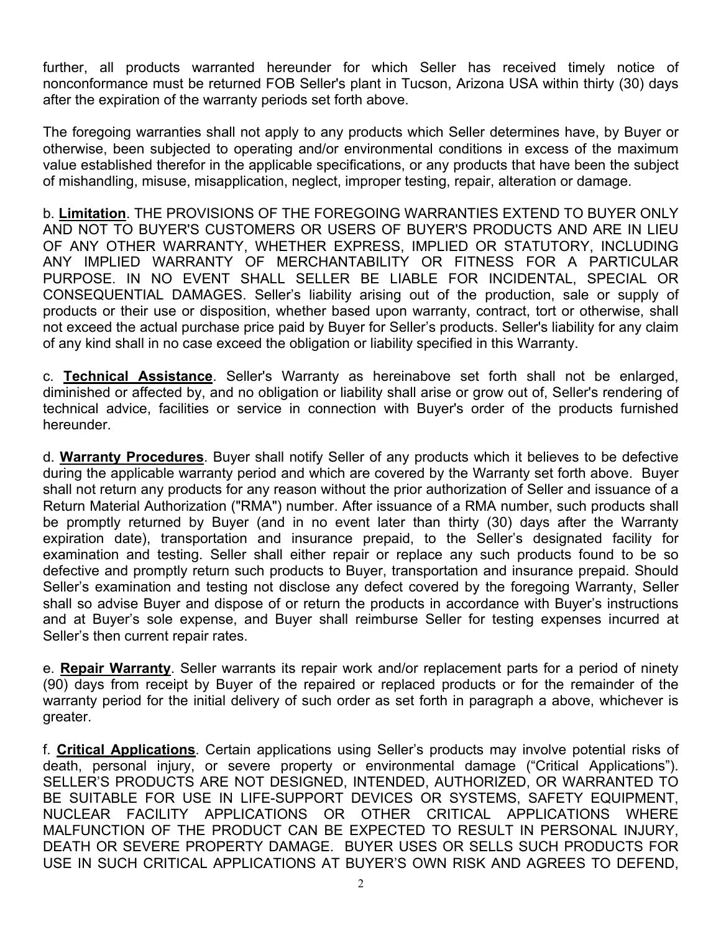further, all products warranted hereunder for which Seller has received timely notice of nonconformance must be returned FOB Seller's plant in Tucson, Arizona USA within thirty (30) days after the expiration of the warranty periods set forth above.

The foregoing warranties shall not apply to any products which Seller determines have, by Buyer or otherwise, been subjected to operating and/or environmental conditions in excess of the maximum value established therefor in the applicable specifications, or any products that have been the subject of mishandling, misuse, misapplication, neglect, improper testing, repair, alteration or damage.

b. **Limitation**. THE PROVISIONS OF THE FOREGOING WARRANTIES EXTEND TO BUYER ONLY AND NOT TO BUYER'S CUSTOMERS OR USERS OF BUYER'S PRODUCTS AND ARE IN LIEU OF ANY OTHER WARRANTY, WHETHER EXPRESS, IMPLIED OR STATUTORY, INCLUDING ANY IMPLIED WARRANTY OF MERCHANTABILITY OR FITNESS FOR A PARTICULAR PURPOSE. IN NO EVENT SHALL SELLER BE LIABLE FOR INCIDENTAL, SPECIAL OR CONSEQUENTIAL DAMAGES. Seller's liability arising out of the production, sale or supply of products or their use or disposition, whether based upon warranty, contract, tort or otherwise, shall not exceed the actual purchase price paid by Buyer for Seller's products. Seller's liability for any claim of any kind shall in no case exceed the obligation or liability specified in this Warranty.

c. **Technical Assistance**. Seller's Warranty as hereinabove set forth shall not be enlarged, diminished or affected by, and no obligation or liability shall arise or grow out of, Seller's rendering of technical advice, facilities or service in connection with Buyer's order of the products furnished hereunder.

d. **Warranty Procedures**. Buyer shall notify Seller of any products which it believes to be defective during the applicable warranty period and which are covered by the Warranty set forth above. Buyer shall not return any products for any reason without the prior authorization of Seller and issuance of a Return Material Authorization ("RMA") number. After issuance of a RMA number, such products shall be promptly returned by Buyer (and in no event later than thirty (30) days after the Warranty expiration date), transportation and insurance prepaid, to the Seller's designated facility for examination and testing. Seller shall either repair or replace any such products found to be so defective and promptly return such products to Buyer, transportation and insurance prepaid. Should Seller's examination and testing not disclose any defect covered by the foregoing Warranty, Seller shall so advise Buyer and dispose of or return the products in accordance with Buyer's instructions and at Buyer's sole expense, and Buyer shall reimburse Seller for testing expenses incurred at Seller's then current repair rates.

e. **Repair Warranty**. Seller warrants its repair work and/or replacement parts for a period of ninety (90) days from receipt by Buyer of the repaired or replaced products or for the remainder of the warranty period for the initial delivery of such order as set forth in paragraph a above, whichever is greater.

f. **Critical Applications**. Certain applications using Seller's products may involve potential risks of death, personal injury, or severe property or environmental damage ("Critical Applications"). SELLER'S PRODUCTS ARE NOT DESIGNED, INTENDED, AUTHORIZED, OR WARRANTED TO BE SUITABLE FOR USE IN LIFE-SUPPORT DEVICES OR SYSTEMS, SAFETY EQUIPMENT, NUCLEAR FACILITY APPLICATIONS OR OTHER CRITICAL APPLICATIONS WHERE MALFUNCTION OF THE PRODUCT CAN BE EXPECTED TO RESULT IN PERSONAL INJURY, DEATH OR SEVERE PROPERTY DAMAGE. BUYER USES OR SELLS SUCH PRODUCTS FOR USE IN SUCH CRITICAL APPLICATIONS AT BUYER'S OWN RISK AND AGREES TO DEFEND,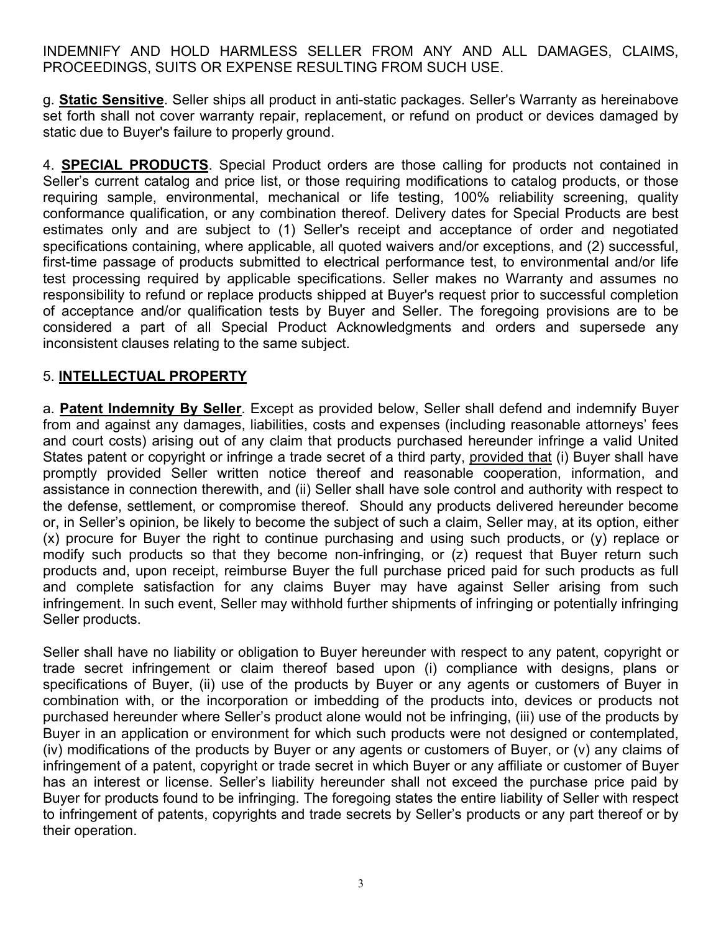INDEMNIFY AND HOLD HARMLESS SELLER FROM ANY AND ALL DAMAGES, CLAIMS, PROCEEDINGS, SUITS OR EXPENSE RESULTING FROM SUCH USE.

g. **Static Sensitive**. Seller ships all product in anti-static packages. Seller's Warranty as hereinabove set forth shall not cover warranty repair, replacement, or refund on product or devices damaged by static due to Buyer's failure to properly ground.

4. **SPECIAL PRODUCTS**. Special Product orders are those calling for products not contained in Seller's current catalog and price list, or those requiring modifications to catalog products, or those requiring sample, environmental, mechanical or life testing, 100% reliability screening, quality conformance qualification, or any combination thereof. Delivery dates for Special Products are best estimates only and are subject to (1) Seller's receipt and acceptance of order and negotiated specifications containing, where applicable, all quoted waivers and/or exceptions, and (2) successful, first-time passage of products submitted to electrical performance test, to environmental and/or life test processing required by applicable specifications. Seller makes no Warranty and assumes no responsibility to refund or replace products shipped at Buyer's request prior to successful completion of acceptance and/or qualification tests by Buyer and Seller. The foregoing provisions are to be considered a part of all Special Product Acknowledgments and orders and supersede any inconsistent clauses relating to the same subject.

## 5. **INTELLECTUAL PROPERTY**

a. **Patent Indemnity By Seller**. Except as provided below, Seller shall defend and indemnify Buyer from and against any damages, liabilities, costs and expenses (including reasonable attorneys' fees and court costs) arising out of any claim that products purchased hereunder infringe a valid United States patent or copyright or infringe a trade secret of a third party, provided that (i) Buyer shall have promptly provided Seller written notice thereof and reasonable cooperation, information, and assistance in connection therewith, and (ii) Seller shall have sole control and authority with respect to the defense, settlement, or compromise thereof. Should any products delivered hereunder become or, in Seller's opinion, be likely to become the subject of such a claim, Seller may, at its option, either (x) procure for Buyer the right to continue purchasing and using such products, or (y) replace or modify such products so that they become non-infringing, or (z) request that Buyer return such products and, upon receipt, reimburse Buyer the full purchase priced paid for such products as full and complete satisfaction for any claims Buyer may have against Seller arising from such infringement. In such event, Seller may withhold further shipments of infringing or potentially infringing Seller products.

Seller shall have no liability or obligation to Buyer hereunder with respect to any patent, copyright or trade secret infringement or claim thereof based upon (i) compliance with designs, plans or specifications of Buyer, (ii) use of the products by Buyer or any agents or customers of Buyer in combination with, or the incorporation or imbedding of the products into, devices or products not purchased hereunder where Seller's product alone would not be infringing, (iii) use of the products by Buyer in an application or environment for which such products were not designed or contemplated, (iv) modifications of the products by Buyer or any agents or customers of Buyer, or (v) any claims of infringement of a patent, copyright or trade secret in which Buyer or any affiliate or customer of Buyer has an interest or license. Seller's liability hereunder shall not exceed the purchase price paid by Buyer for products found to be infringing. The foregoing states the entire liability of Seller with respect to infringement of patents, copyrights and trade secrets by Seller's products or any part thereof or by their operation.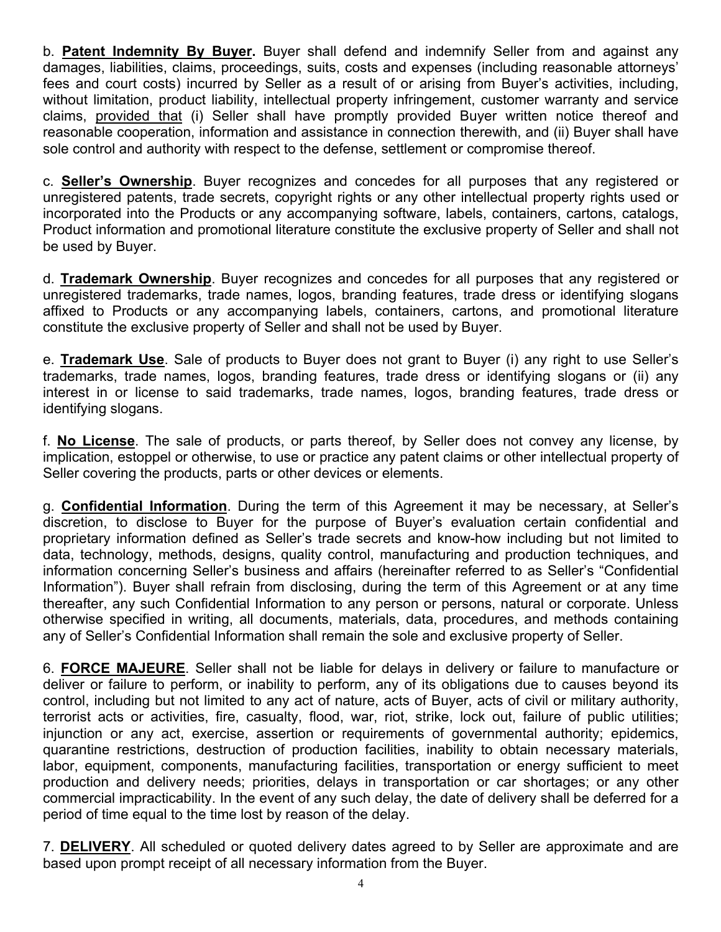b. **Patent Indemnity By Buyer.** Buyer shall defend and indemnify Seller from and against any damages, liabilities, claims, proceedings, suits, costs and expenses (including reasonable attorneys' fees and court costs) incurred by Seller as a result of or arising from Buyer's activities, including, without limitation, product liability, intellectual property infringement, customer warranty and service claims, provided that (i) Seller shall have promptly provided Buyer written notice thereof and reasonable cooperation, information and assistance in connection therewith, and (ii) Buyer shall have sole control and authority with respect to the defense, settlement or compromise thereof.

c. **Seller's Ownership**. Buyer recognizes and concedes for all purposes that any registered or unregistered patents, trade secrets, copyright rights or any other intellectual property rights used or incorporated into the Products or any accompanying software, labels, containers, cartons, catalogs, Product information and promotional literature constitute the exclusive property of Seller and shall not be used by Buyer.

d. **Trademark Ownership**. Buyer recognizes and concedes for all purposes that any registered or unregistered trademarks, trade names, logos, branding features, trade dress or identifying slogans affixed to Products or any accompanying labels, containers, cartons, and promotional literature constitute the exclusive property of Seller and shall not be used by Buyer.

e. **Trademark Use**. Sale of products to Buyer does not grant to Buyer (i) any right to use Seller's trademarks, trade names, logos, branding features, trade dress or identifying slogans or (ii) any interest in or license to said trademarks, trade names, logos, branding features, trade dress or identifying slogans.

f. **No License**. The sale of products, or parts thereof, by Seller does not convey any license, by implication, estoppel or otherwise, to use or practice any patent claims or other intellectual property of Seller covering the products, parts or other devices or elements.

g. **Confidential Information**. During the term of this Agreement it may be necessary, at Seller's discretion, to disclose to Buyer for the purpose of Buyer's evaluation certain confidential and proprietary information defined as Seller's trade secrets and know-how including but not limited to data, technology, methods, designs, quality control, manufacturing and production techniques, and information concerning Seller's business and affairs (hereinafter referred to as Seller's "Confidential Information"). Buyer shall refrain from disclosing, during the term of this Agreement or at any time thereafter, any such Confidential Information to any person or persons, natural or corporate. Unless otherwise specified in writing, all documents, materials, data, procedures, and methods containing any of Seller's Confidential Information shall remain the sole and exclusive property of Seller.

6. **FORCE MAJEURE**. Seller shall not be liable for delays in delivery or failure to manufacture or deliver or failure to perform, or inability to perform, any of its obligations due to causes beyond its control, including but not limited to any act of nature, acts of Buyer, acts of civil or military authority, terrorist acts or activities, fire, casualty, flood, war, riot, strike, lock out, failure of public utilities; injunction or any act, exercise, assertion or requirements of governmental authority; epidemics, quarantine restrictions, destruction of production facilities, inability to obtain necessary materials, labor, equipment, components, manufacturing facilities, transportation or energy sufficient to meet production and delivery needs; priorities, delays in transportation or car shortages; or any other commercial impracticability. In the event of any such delay, the date of delivery shall be deferred for a period of time equal to the time lost by reason of the delay.

7. **DELIVERY**. All scheduled or quoted delivery dates agreed to by Seller are approximate and are based upon prompt receipt of all necessary information from the Buyer.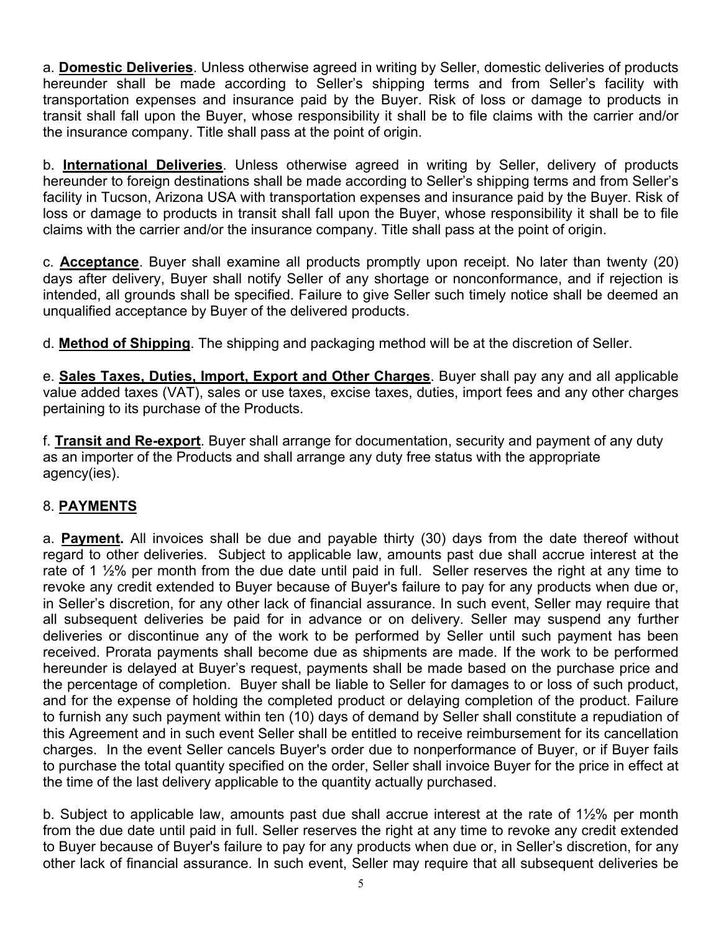a. **Domestic Deliveries**. Unless otherwise agreed in writing by Seller, domestic deliveries of products hereunder shall be made according to Seller's shipping terms and from Seller's facility with transportation expenses and insurance paid by the Buyer. Risk of loss or damage to products in transit shall fall upon the Buyer, whose responsibility it shall be to file claims with the carrier and/or the insurance company. Title shall pass at the point of origin.

b. **International Deliveries**. Unless otherwise agreed in writing by Seller, delivery of products hereunder to foreign destinations shall be made according to Seller's shipping terms and from Seller's facility in Tucson, Arizona USA with transportation expenses and insurance paid by the Buyer. Risk of loss or damage to products in transit shall fall upon the Buyer, whose responsibility it shall be to file claims with the carrier and/or the insurance company. Title shall pass at the point of origin.

c. **Acceptance**. Buyer shall examine all products promptly upon receipt. No later than twenty (20) days after delivery, Buyer shall notify Seller of any shortage or nonconformance, and if rejection is intended, all grounds shall be specified. Failure to give Seller such timely notice shall be deemed an unqualified acceptance by Buyer of the delivered products.

d. **Method of Shipping**. The shipping and packaging method will be at the discretion of Seller.

e. **Sales Taxes, Duties, Import, Export and Other Charges**. Buyer shall pay any and all applicable value added taxes (VAT), sales or use taxes, excise taxes, duties, import fees and any other charges pertaining to its purchase of the Products.

f. **Transit and Re-export**. Buyer shall arrange for documentation, security and payment of any duty as an importer of the Products and shall arrange any duty free status with the appropriate agency(ies).

# 8. **PAYMENTS**

a. **Payment.** All invoices shall be due and payable thirty (30) days from the date thereof without regard to other deliveries. Subject to applicable law, amounts past due shall accrue interest at the rate of 1 1/<sub>2</sub>% per month from the due date until paid in full. Seller reserves the right at any time to revoke any credit extended to Buyer because of Buyer's failure to pay for any products when due or, in Seller's discretion, for any other lack of financial assurance. In such event, Seller may require that all subsequent deliveries be paid for in advance or on delivery. Seller may suspend any further deliveries or discontinue any of the work to be performed by Seller until such payment has been received. Prorata payments shall become due as shipments are made. If the work to be performed hereunder is delayed at Buyer's request, payments shall be made based on the purchase price and the percentage of completion. Buyer shall be liable to Seller for damages to or loss of such product, and for the expense of holding the completed product or delaying completion of the product. Failure to furnish any such payment within ten (10) days of demand by Seller shall constitute a repudiation of this Agreement and in such event Seller shall be entitled to receive reimbursement for its cancellation charges. In the event Seller cancels Buyer's order due to nonperformance of Buyer, or if Buyer fails to purchase the total quantity specified on the order, Seller shall invoice Buyer for the price in effect at the time of the last delivery applicable to the quantity actually purchased.

b. Subject to applicable law, amounts past due shall accrue interest at the rate of 1½% per month from the due date until paid in full. Seller reserves the right at any time to revoke any credit extended to Buyer because of Buyer's failure to pay for any products when due or, in Seller's discretion, for any other lack of financial assurance. In such event, Seller may require that all subsequent deliveries be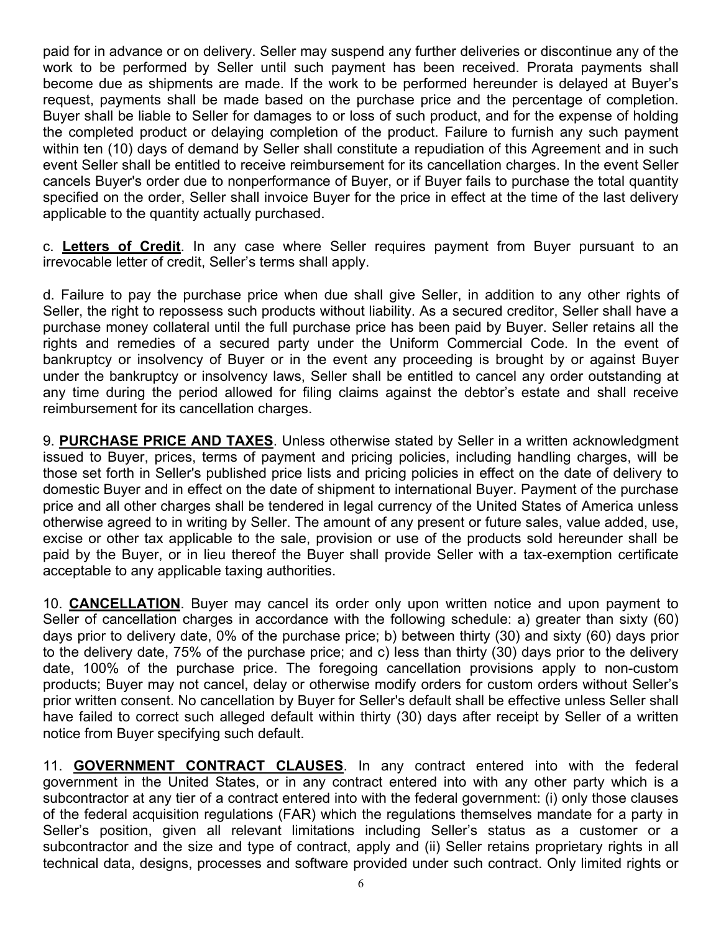paid for in advance or on delivery. Seller may suspend any further deliveries or discontinue any of the work to be performed by Seller until such payment has been received. Prorata payments shall become due as shipments are made. If the work to be performed hereunder is delayed at Buyer's request, payments shall be made based on the purchase price and the percentage of completion. Buyer shall be liable to Seller for damages to or loss of such product, and for the expense of holding the completed product or delaying completion of the product. Failure to furnish any such payment within ten (10) days of demand by Seller shall constitute a repudiation of this Agreement and in such event Seller shall be entitled to receive reimbursement for its cancellation charges. In the event Seller cancels Buyer's order due to nonperformance of Buyer, or if Buyer fails to purchase the total quantity specified on the order, Seller shall invoice Buyer for the price in effect at the time of the last delivery applicable to the quantity actually purchased.

c. **Letters of Credit**. In any case where Seller requires payment from Buyer pursuant to an irrevocable letter of credit, Seller's terms shall apply.

d. Failure to pay the purchase price when due shall give Seller, in addition to any other rights of Seller, the right to repossess such products without liability. As a secured creditor, Seller shall have a purchase money collateral until the full purchase price has been paid by Buyer. Seller retains all the rights and remedies of a secured party under the Uniform Commercial Code. In the event of bankruptcy or insolvency of Buyer or in the event any proceeding is brought by or against Buyer under the bankruptcy or insolvency laws, Seller shall be entitled to cancel any order outstanding at any time during the period allowed for filing claims against the debtor's estate and shall receive reimbursement for its cancellation charges.

9. **PURCHASE PRICE AND TAXES**. Unless otherwise stated by Seller in a written acknowledgment issued to Buyer, prices, terms of payment and pricing policies, including handling charges, will be those set forth in Seller's published price lists and pricing policies in effect on the date of delivery to domestic Buyer and in effect on the date of shipment to international Buyer. Payment of the purchase price and all other charges shall be tendered in legal currency of the United States of America unless otherwise agreed to in writing by Seller. The amount of any present or future sales, value added, use, excise or other tax applicable to the sale, provision or use of the products sold hereunder shall be paid by the Buyer, or in lieu thereof the Buyer shall provide Seller with a tax-exemption certificate acceptable to any applicable taxing authorities.

10. **CANCELLATION**. Buyer may cancel its order only upon written notice and upon payment to Seller of cancellation charges in accordance with the following schedule: a) greater than sixty (60) days prior to delivery date, 0% of the purchase price; b) between thirty (30) and sixty (60) days prior to the delivery date, 75% of the purchase price; and c) less than thirty (30) days prior to the delivery date, 100% of the purchase price. The foregoing cancellation provisions apply to non-custom products; Buyer may not cancel, delay or otherwise modify orders for custom orders without Seller's prior written consent. No cancellation by Buyer for Seller's default shall be effective unless Seller shall have failed to correct such alleged default within thirty (30) days after receipt by Seller of a written notice from Buyer specifying such default.

11. **GOVERNMENT CONTRACT CLAUSES**. In any contract entered into with the federal government in the United States, or in any contract entered into with any other party which is a subcontractor at any tier of a contract entered into with the federal government: (i) only those clauses of the federal acquisition regulations (FAR) which the regulations themselves mandate for a party in Seller's position, given all relevant limitations including Seller's status as a customer or a subcontractor and the size and type of contract, apply and (ii) Seller retains proprietary rights in all technical data, designs, processes and software provided under such contract. Only limited rights or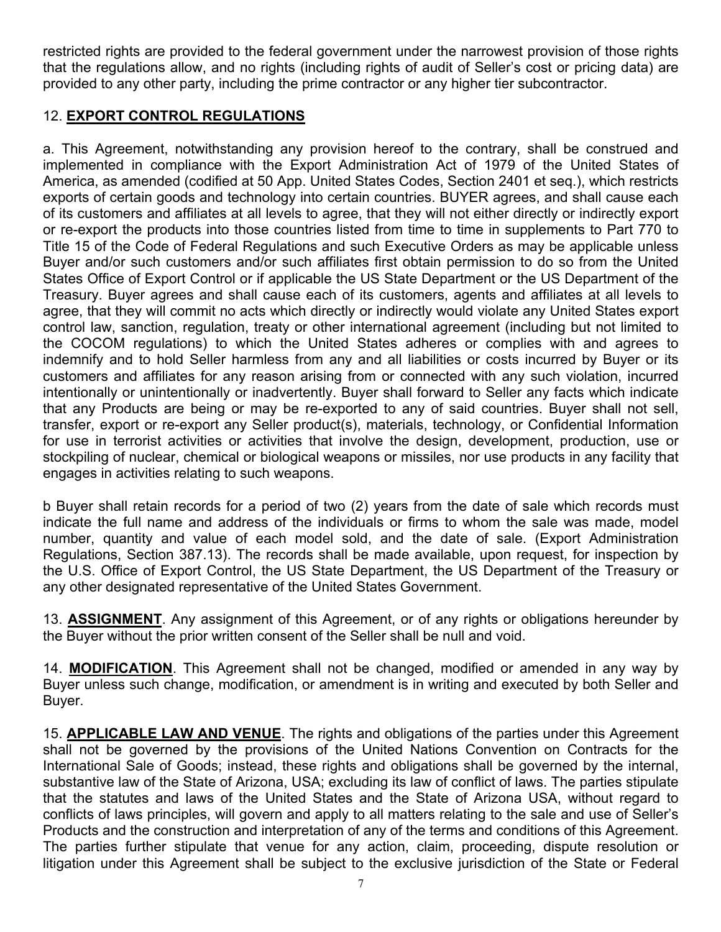restricted rights are provided to the federal government under the narrowest provision of those rights that the regulations allow, and no rights (including rights of audit of Seller's cost or pricing data) are provided to any other party, including the prime contractor or any higher tier subcontractor.

# 12. **EXPORT CONTROL REGULATIONS**

a. This Agreement, notwithstanding any provision hereof to the contrary, shall be construed and implemented in compliance with the Export Administration Act of 1979 of the United States of America, as amended (codified at 50 App. United States Codes, Section 2401 et seq.), which restricts exports of certain goods and technology into certain countries. BUYER agrees, and shall cause each of its customers and affiliates at all levels to agree, that they will not either directly or indirectly export or re-export the products into those countries listed from time to time in supplements to Part 770 to Title 15 of the Code of Federal Regulations and such Executive Orders as may be applicable unless Buyer and/or such customers and/or such affiliates first obtain permission to do so from the United States Office of Export Control or if applicable the US State Department or the US Department of the Treasury. Buyer agrees and shall cause each of its customers, agents and affiliates at all levels to agree, that they will commit no acts which directly or indirectly would violate any United States export control law, sanction, regulation, treaty or other international agreement (including but not limited to the COCOM regulations) to which the United States adheres or complies with and agrees to indemnify and to hold Seller harmless from any and all liabilities or costs incurred by Buyer or its customers and affiliates for any reason arising from or connected with any such violation, incurred intentionally or unintentionally or inadvertently. Buyer shall forward to Seller any facts which indicate that any Products are being or may be re-exported to any of said countries. Buyer shall not sell, transfer, export or re-export any Seller product(s), materials, technology, or Confidential Information for use in terrorist activities or activities that involve the design, development, production, use or stockpiling of nuclear, chemical or biological weapons or missiles, nor use products in any facility that engages in activities relating to such weapons.

b Buyer shall retain records for a period of two (2) years from the date of sale which records must indicate the full name and address of the individuals or firms to whom the sale was made, model number, quantity and value of each model sold, and the date of sale. (Export Administration Regulations, Section 387.13). The records shall be made available, upon request, for inspection by the U.S. Office of Export Control, the US State Department, the US Department of the Treasury or any other designated representative of the United States Government.

13. **ASSIGNMENT**. Any assignment of this Agreement, or of any rights or obligations hereunder by the Buyer without the prior written consent of the Seller shall be null and void.

14. **MODIFICATION**. This Agreement shall not be changed, modified or amended in any way by Buyer unless such change, modification, or amendment is in writing and executed by both Seller and Buyer.

15. **APPLICABLE LAW AND VENUE**. The rights and obligations of the parties under this Agreement shall not be governed by the provisions of the United Nations Convention on Contracts for the International Sale of Goods; instead, these rights and obligations shall be governed by the internal, substantive law of the State of Arizona, USA; excluding its law of conflict of laws. The parties stipulate that the statutes and laws of the United States and the State of Arizona USA, without regard to conflicts of laws principles, will govern and apply to all matters relating to the sale and use of Seller's Products and the construction and interpretation of any of the terms and conditions of this Agreement. The parties further stipulate that venue for any action, claim, proceeding, dispute resolution or litigation under this Agreement shall be subject to the exclusive jurisdiction of the State or Federal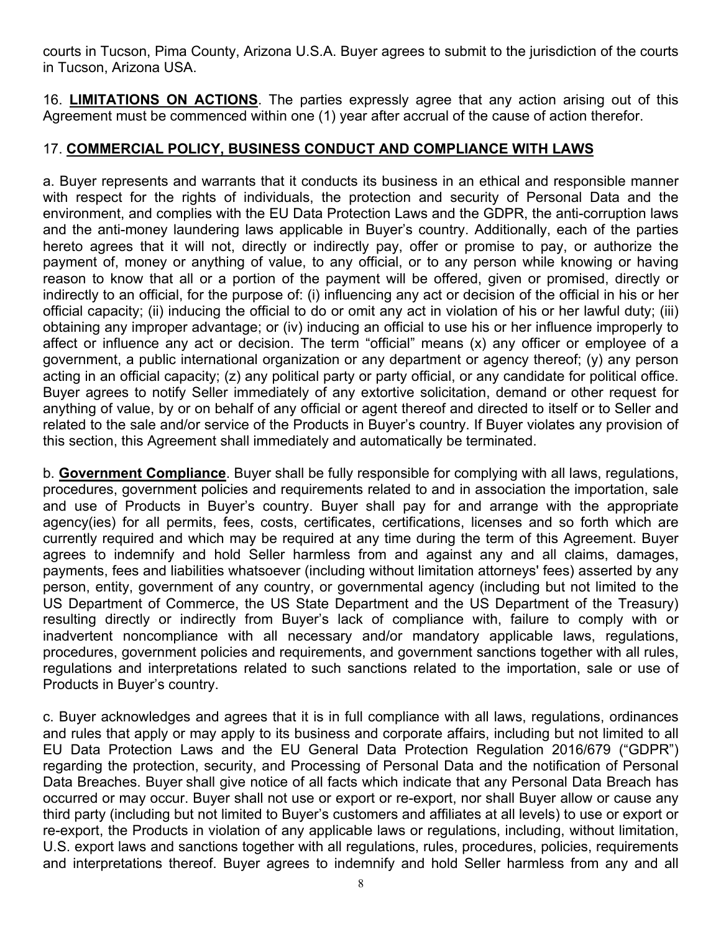courts in Tucson, Pima County, Arizona U.S.A. Buyer agrees to submit to the jurisdiction of the courts in Tucson, Arizona USA.

16. **LIMITATIONS ON ACTIONS**. The parties expressly agree that any action arising out of this Agreement must be commenced within one (1) year after accrual of the cause of action therefor.

# 17. **COMMERCIAL POLICY, BUSINESS CONDUCT AND COMPLIANCE WITH LAWS**

a. Buyer represents and warrants that it conducts its business in an ethical and responsible manner with respect for the rights of individuals, the protection and security of Personal Data and the environment, and complies with the EU Data Protection Laws and the GDPR, the anti-corruption laws and the anti-money laundering laws applicable in Buyer's country. Additionally, each of the parties hereto agrees that it will not, directly or indirectly pay, offer or promise to pay, or authorize the payment of, money or anything of value, to any official, or to any person while knowing or having reason to know that all or a portion of the payment will be offered, given or promised, directly or indirectly to an official, for the purpose of: (i) influencing any act or decision of the official in his or her official capacity; (ii) inducing the official to do or omit any act in violation of his or her lawful duty; (iii) obtaining any improper advantage; or (iv) inducing an official to use his or her influence improperly to affect or influence any act or decision. The term "official" means (x) any officer or employee of a government, a public international organization or any department or agency thereof; (y) any person acting in an official capacity; (z) any political party or party official, or any candidate for political office. Buyer agrees to notify Seller immediately of any extortive solicitation, demand or other request for anything of value, by or on behalf of any official or agent thereof and directed to itself or to Seller and related to the sale and/or service of the Products in Buyer's country. If Buyer violates any provision of this section, this Agreement shall immediately and automatically be terminated.

b. **Government Compliance**. Buyer shall be fully responsible for complying with all laws, regulations, procedures, government policies and requirements related to and in association the importation, sale and use of Products in Buyer's country. Buyer shall pay for and arrange with the appropriate agency(ies) for all permits, fees, costs, certificates, certifications, licenses and so forth which are currently required and which may be required at any time during the term of this Agreement. Buyer agrees to indemnify and hold Seller harmless from and against any and all claims, damages, payments, fees and liabilities whatsoever (including without limitation attorneys' fees) asserted by any person, entity, government of any country, or governmental agency (including but not limited to the US Department of Commerce, the US State Department and the US Department of the Treasury) resulting directly or indirectly from Buyer's lack of compliance with, failure to comply with or inadvertent noncompliance with all necessary and/or mandatory applicable laws, regulations, procedures, government policies and requirements, and government sanctions together with all rules, regulations and interpretations related to such sanctions related to the importation, sale or use of Products in Buyer's country.

c. Buyer acknowledges and agrees that it is in full compliance with all laws, regulations, ordinances and rules that apply or may apply to its business and corporate affairs, including but not limited to all EU Data Protection Laws and the EU General Data Protection Regulation 2016/679 ("GDPR") regarding the protection, security, and Processing of Personal Data and the notification of Personal Data Breaches. Buyer shall give notice of all facts which indicate that any Personal Data Breach has occurred or may occur. Buyer shall not use or export or re-export, nor shall Buyer allow or cause any third party (including but not limited to Buyer's customers and affiliates at all levels) to use or export or re-export, the Products in violation of any applicable laws or regulations, including, without limitation, U.S. export laws and sanctions together with all regulations, rules, procedures, policies, requirements and interpretations thereof. Buyer agrees to indemnify and hold Seller harmless from any and all